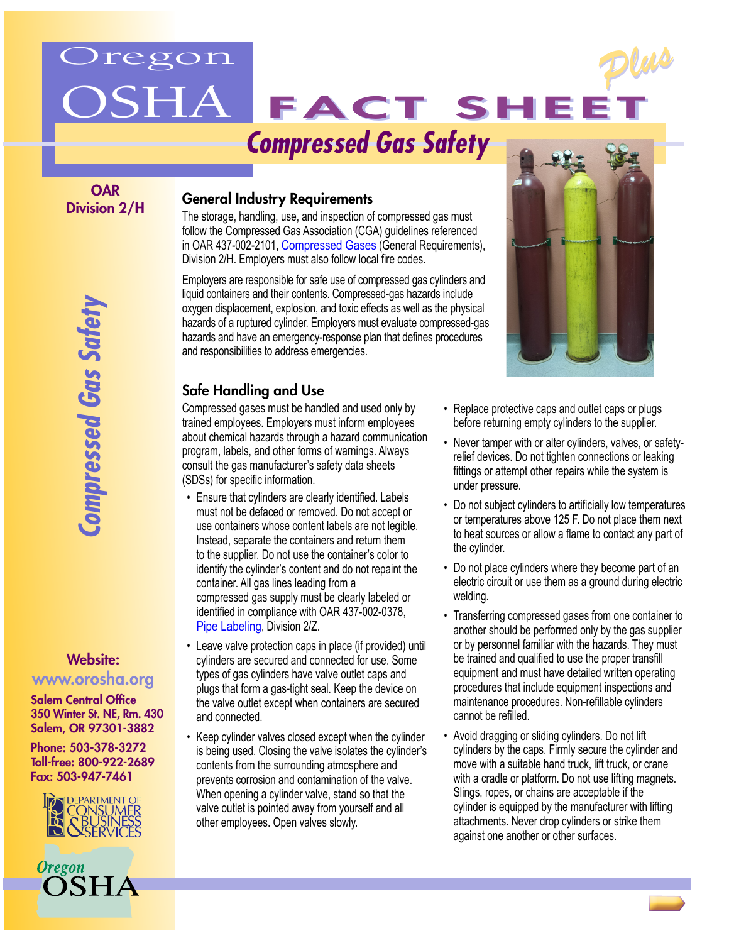# regon



FACT SHE

**OAR** Division 2/H

#### General Industry Requirements

The storage, handling, use, and inspection of compressed gas must follow the Compressed Gas Association (CGA) guidelines referenced in OAR 437-002-2101, [Compressed Gases](http://www.orosha.org/standards/div_2.html#subH) (General Requirements), Division 2/H. Employers must also follow local fire codes.

Employers are responsible for safe use of compressed gas cylinders and liquid containers and their contents. Compressed-gas hazards include oxygen displacement, explosion, and toxic effects as well as the physical hazards of a ruptured cylinder. Employers must evaluate compressed-gas hazards and have an emergency-response plan that defines procedures and responsibilities to address emergencies.

### Safe Handling and Use

Compressed gases must be handled and used only by trained employees. Employers must inform employees about chemical hazards through a hazard communication program, labels, and other forms of warnings. Always consult the gas manufacturer's safety data sheets (SDSs) for specific information.

- Ensure that cylinders are clearly identified. Labels must not be defaced or removed. Do not accept or use containers whose content labels are not legible. Instead, separate the containers and return them to the supplier. Do not use the container's color to identify the cylinder's content and do not repaint the container. All gas lines leading from a compressed gas supply must be clearly labeled or identified in compliance with OAR 437-002-0378, [Pipe Labeling,](http://www.orosha.org/standards/div_2.html#subZ) Division 2/Z.
- Leave valve protection caps in place (if provided) until cylinders are secured and connected for use. Some types of gas cylinders have valve outlet caps and plugs that form a gas-tight seal. Keep the device on the valve outlet except when containers are secured and connected.
- Keep cylinder valves closed except when the cylinder is being used. Closing the valve isolates the cylinder's contents from the surrounding atmosphere and prevents corrosion and contamination of the valve. When opening a cylinder valve, stand so that the valve outlet is pointed away from yourself and all other employees. Open valves slowly.



*Plus Plus*

- Replace protective caps and outlet caps or plugs before returning empty cylinders to the supplier.
- Never tamper with or alter cylinders, valves, or safetyrelief devices. Do not tighten connections or leaking fittings or attempt other repairs while the system is under pressure.
- Do not subject cylinders to artificially low temperatures or temperatures above 125 F. Do not place them next to heat sources or allow a flame to contact any part of the cylinder.
- Do not place cylinders where they become part of an electric circuit or use them as a ground during electric welding.
- Transferring compressed gases from one container to another should be performed only by the gas supplier or by personnel familiar with the hazards. They must be trained and qualified to use the proper transfill equipment and must have detailed written operating procedures that include equipment inspections and maintenance procedures. Non-refillable cylinders cannot be refilled.
- Avoid dragging or sliding cylinders. Do not lift cylinders by the caps. Firmly secure the cylinder and move with a suitable hand truck, lift truck, or crane with a cradle or platform. Do not use lifting magnets. Slings, ropes, or chains are acceptable if the cylinder is equipped by the manufacturer with lifting attachments. Never drop cylinders or strike them against one another or other surfaces.

Website:

*Compressed Gas Safety*

Compressed Gas Safety

## www.orosha.org

Salem Central Office 350 Winter St. NE, Rm. 430 Salem, OR 97301-3882

Phone: 503-378-3272 Toll-free: 800-922-2689 Fax: 503-947-7461